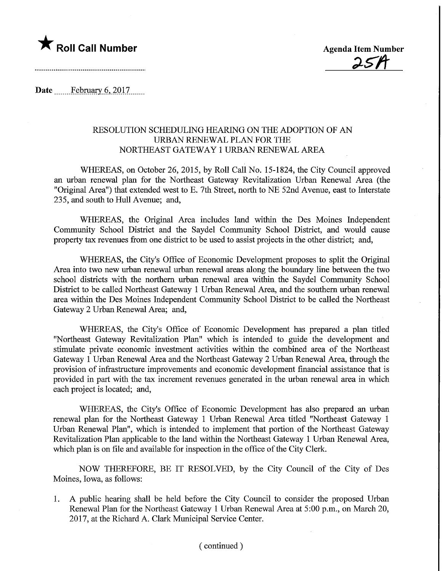

 $25A$ 

Date ........Febmary.6,.2017.

## RESOLUTION SCHEDULING HEARING ON THE ADOPTION OF AN URBAN RENEWAL PLAN FOR THE NORTHEAST GATEWAY 1 URBAN RENEWAL AREA

WHEREAS, on October 26, 2015, by Roll Call No. 15-1824, the City Council approved an urban renewal plan for the Northeast Gateway Revitalization Urban Renewal Area (the "Original Area") that extended west to E. 7th Street, north to NE 52nd Avenue, east to Interstate 235, and south to Hull Avenue; and,

WHEREAS, the Original Area includes land within the Des Moines Independent Community School District and the Saydel Community School District, and would cause property tax revenues from one district to be used to assist projects in the other district; and,

WHEREAS, the City's Office of Economic Development proposes to split the Original Area into two new urban renewal urban renewal areas along the boundary line between the two school districts with the northern urban renewal area withm the Saydel Community School District to be called Northeast Gateway 1 Urban Renewal Area, and the southern urban renewal area within the Des Moines Independent Community School District to be called the Northeast Gateway 2 Urban Renewal Area; and,

WHEREAS, the City's Office of Economic Development has prepared a plan titled "Northeast Gateway Revitalization Plan" which is intended to guide the development and stimulate private economic investment activities within the combined area of the Northeast Gateway 1 Urban Renewal Area and the Northeast Gateway 2 Urban Renewal Area, through the provision of infrastructure improvements and economic development financial assistance that is provided in part with the tax increment revenues generated in the urban renewal area in which each project is located; and,

WHEREAS, the City's Office of Economic Development has also prepared an urban renewal plan for the Northeast Gateway 1 Urban Renewal Area titled "Northeast Gateway 1 Urban Renewal Plan", which is intended to implement that portion of the Northeast Gateway Revitalization Plan applicable to the land within the Northeast Gateway 1 Urban Renewal Area, which plan is on file and available for inspection in the office of the City Clerk.

NOW THEREFORE, BE IT RESOLVED, by the City Council of the City of Des Moines, Iowa, as follows:

1. A public hearing shall be held before the City Council to consider the proposed Urban Renewal Plan for the Northeast Gateway 1 Urban Renewal Area at 5:00 p.m., on March 20, 2017, at the Richard A. Clark Municipal Service Center.

## (continued)